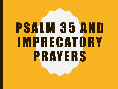# PSALM 35 AND I M P R E C AT O R Y **PRAYERS**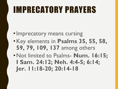### IMPRECATORY PRAYERS

- Imprecatory means cursing
- •Key elements in **Psalms 35, 55, 58, 59, 79, 109, 137** among others
- •Not limited to Psalms- **Num. 16:15; I Sam. 24:12; Neh. 4:4-5; 6:14; Jer. 11:18-20; 20:14-18**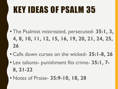## KEY IDEAS OF PSALM 35

- The Psalmist mistreated, persecuted- **35:1, 3, 4, 8, 10, 11, 12, 15, 16, 19, 20, 21, 24, 25, 26**
- Calls down curses on the wicked- **35:1-8, 26**
- Lex talionis- punishment fits crime- **35:1, 7- 8, 21-22**
- Notes of Praise- **35:9-10, 18, 28**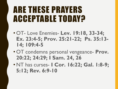#### ARE THESE PRAYERS ACCEPTABLE TODAY?

- OT- Love Enemies- **Lev. 19:18, 33-34; Ex. 23:4-5; Prov. 25:21-22; Ps. 35:13- 14; 109:4-5**
- OT condemns personal vengeance- **Prov. 20:22; 24:29; I Sam. 24, 26**
- NT has curses- **I Cor. 16:22; Gal. 1:8-9; 5:12; Rev. 6:9-10**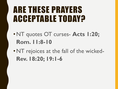#### ARE THESE PRAYERS ACCEPTABLE TODAY?

- •NT quotes OT curses- **Acts 1:20; Rom. 11:8-10**
- •NT rejoices at the fall of the wicked-**Rev. 18:20; 19:1-6**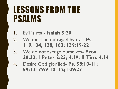#### LESSONS FROM THE PSALMS

- 1. Evil is real- **Isaiah 5:20**
- 2. We must be outraged by evil- **Ps. 119:104, 128, 163; 139:19-22**
- 3. We do not avenge ourselves- **Prov. 20:22; I Peter 2:23; 4:19; II Tim. 4:14**
- 4. Desire God glorified- **Ps. 58:10-11; 59:13; 79:9-10, 12; 109:27**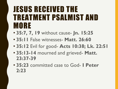#### JESUS RECEIVED THE TREATMENT PSALMIST AND **MORE**

- **35:7, 7, 19** without cause- **Jn. 15:25**
- **35:11** False witnesses- **Matt. 26:60**
- **35:12** Evil for good- **Acts 10:38; Lk. 22:51**
- **35:13-14** mourned and grieved- **Matt. 23:37-39**
- **35:23** committed case to God- **I Peter 2:23**